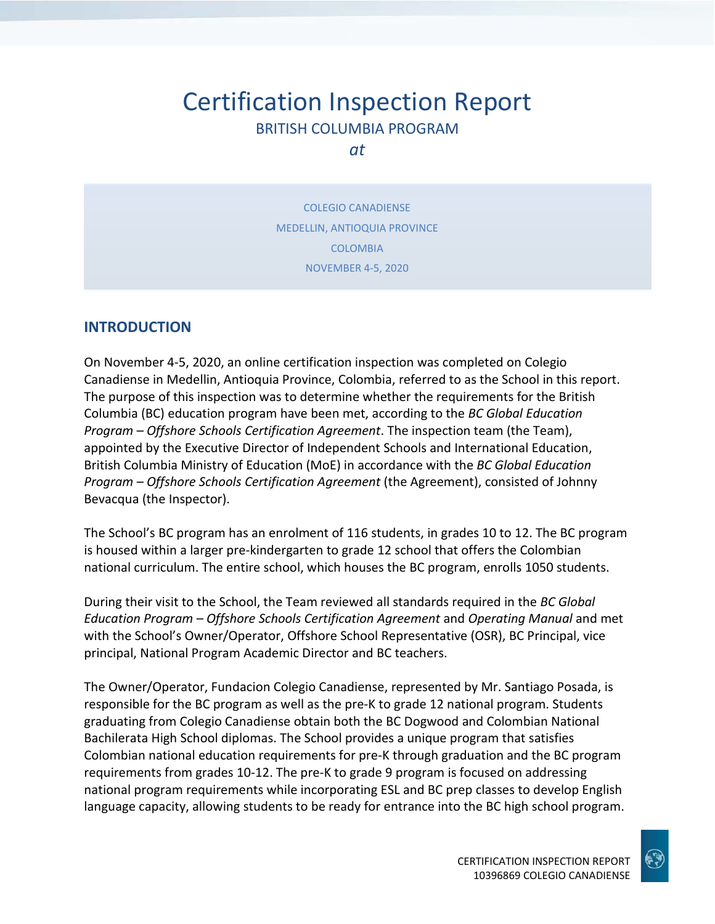# Certification Inspection Report BRITISH COLUMBIA PROGRAM

*at*

COLEGIO CANADIENSE MEDELLIN, ANTIOQUIA PROVINCE COLOMBIA NOVEMBER 4-5, 2020

#### **INTRODUCTION**

On November 4-5, 2020, an online certification inspection was completed on Colegio Canadiense in Medellin, Antioquia Province, Colombia, referred to as the School in this report. The purpose of this inspection was to determine whether the requirements for the British Columbia (BC) education program have been met, according to the *BC Global Education Program – Offshore Schools Certification Agreement*. The inspection team (the Team), appointed by the Executive Director of Independent Schools and International Education, British Columbia Ministry of Education (MoE) in accordance with the *BC Global Education Program – Offshore Schools Certification Agreement* (the Agreement), consisted of Johnny Bevacqua (the Inspector).

The School's BC program has an enrolment of 116 students, in grades 10 to 12. The BC program is housed within a larger pre-kindergarten to grade 12 school that offers the Colombian national curriculum. The entire school, which houses the BC program, enrolls 1050 students.

During their visit to the School, the Team reviewed all standards required in the *BC Global Education Program – Offshore Schools Certification Agreement* and *Operating Manual* and met with the School's Owner/Operator, Offshore School Representative (OSR), BC Principal, vice principal, National Program Academic Director and BC teachers.

The Owner/Operator, Fundacion Colegio Canadiense, represented by Mr. Santiago Posada, is responsible for the BC program as well as the pre-K to grade 12 national program. Students graduating from Colegio Canadiense obtain both the BC Dogwood and Colombian National Bachilerata High School diplomas. The School provides a unique program that satisfies Colombian national education requirements for pre-K through graduation and the BC program requirements from grades 10-12. The pre-K to grade 9 program is focused on addressing national program requirements while incorporating ESL and BC prep classes to develop English language capacity, allowing students to be ready for entrance into the BC high school program.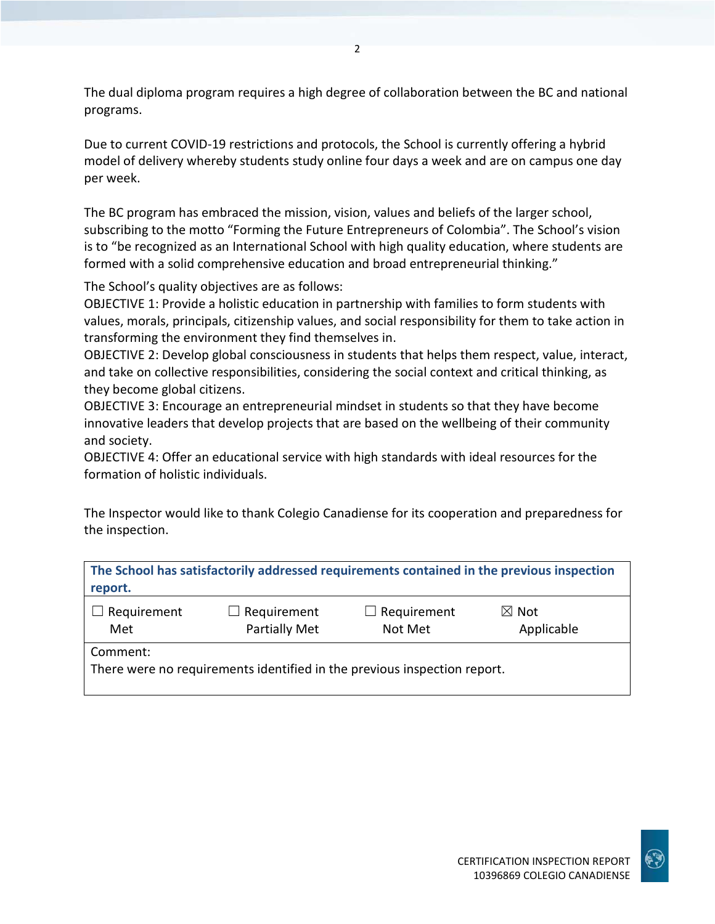The dual diploma program requires a high degree of collaboration between the BC and national programs.

Due to current COVID-19 restrictions and protocols, the School is currently offering a hybrid model of delivery whereby students study online four days a week and are on campus one day per week.

The BC program has embraced the mission, vision, values and beliefs of the larger school, subscribing to the motto "Forming the Future Entrepreneurs of Colombia". The School's vision is to "be recognized as an International School with high quality education, where students are formed with a solid comprehensive education and broad entrepreneurial thinking."

The School's quality objectives are as follows:

OBJECTIVE 1: Provide a holistic education in partnership with families to form students with values, morals, principals, citizenship values, and social responsibility for them to take action in transforming the environment they find themselves in.

OBJECTIVE 2: Develop global consciousness in students that helps them respect, value, interact, and take on collective responsibilities, considering the social context and critical thinking, as they become global citizens.

OBJECTIVE 3: Encourage an entrepreneurial mindset in students so that they have become innovative leaders that develop projects that are based on the wellbeing of their community and society.

OBJECTIVE 4: Offer an educational service with high standards with ideal resources for the formation of holistic individuals.

The Inspector would like to thank Colegio Canadiense for its cooperation and preparedness for the inspection.

| report.            |                                                                          |                               | The School has satisfactorily addressed requirements contained in the previous inspection |
|--------------------|--------------------------------------------------------------------------|-------------------------------|-------------------------------------------------------------------------------------------|
| Requirement<br>Met | $\Box$ Requirement<br><b>Partially Met</b>                               | $\Box$ Requirement<br>Not Met | $\boxtimes$ Not<br>Applicable                                                             |
| Comment:           | There were no requirements identified in the previous inspection report. |                               |                                                                                           |

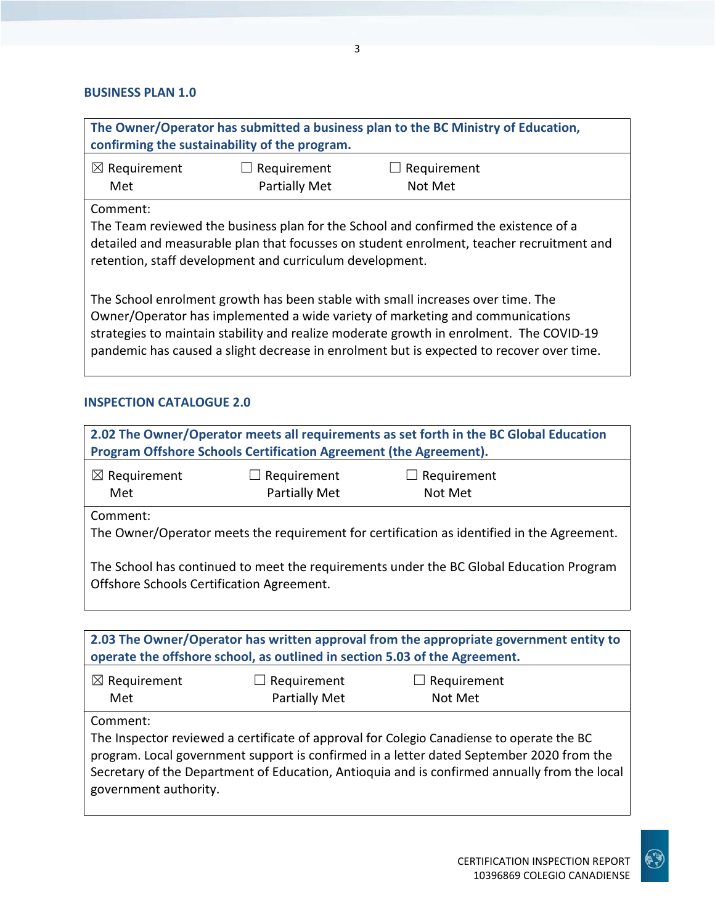#### **BUSINESS PLAN 1.0**

| The Owner/Operator has submitted a business plan to the BC Ministry of Education,<br>confirming the sustainability of the program.                                                                                                                                                                                                                      |                                     |                        |  |
|---------------------------------------------------------------------------------------------------------------------------------------------------------------------------------------------------------------------------------------------------------------------------------------------------------------------------------------------------------|-------------------------------------|------------------------|--|
| $\boxtimes$ Requirement<br>Met                                                                                                                                                                                                                                                                                                                          | $\Box$ Requirement<br>Partially Met | Requirement<br>Not Met |  |
| Comment:<br>The Team reviewed the business plan for the School and confirmed the existence of a<br>detailed and measurable plan that focusses on student enrolment, teacher recruitment and<br>retention, staff development and curriculum development.                                                                                                 |                                     |                        |  |
| The School enrolment growth has been stable with small increases over time. The<br>Owner/Operator has implemented a wide variety of marketing and communications<br>strategies to maintain stability and realize moderate growth in enrolment. The COVID-19<br>pandemic has caused a slight decrease in enrolment but is expected to recover over time. |                                     |                        |  |

#### **INSPECTION CATALOGUE 2.0**

| $\boxtimes$ Requirement<br>Met            | Requirement<br><b>Partially Met</b> | $\Box$ Requirement<br>Not Met                                                              |  |
|-------------------------------------------|-------------------------------------|--------------------------------------------------------------------------------------------|--|
| Comment:                                  |                                     | The Owner/Operator meets the requirement for certification as identified in the Agreement. |  |
| Offshore Schools Certification Agreement. |                                     | The School has continued to meet the requirements under the BC Global Education Program    |  |

| $\boxtimes$ Requirement | $\Box$ Requirement   | $\Box$ Requirement |
|-------------------------|----------------------|--------------------|
| Met                     | <b>Partially Met</b> | Not Met            |

Comment:

The Inspector reviewed a certificate of approval for Colegio Canadiense to operate the BC program. Local government support is confirmed in a letter dated September 2020 from the Secretary of the Department of Education, Antioquia and is confirmed annually from the local government authority.

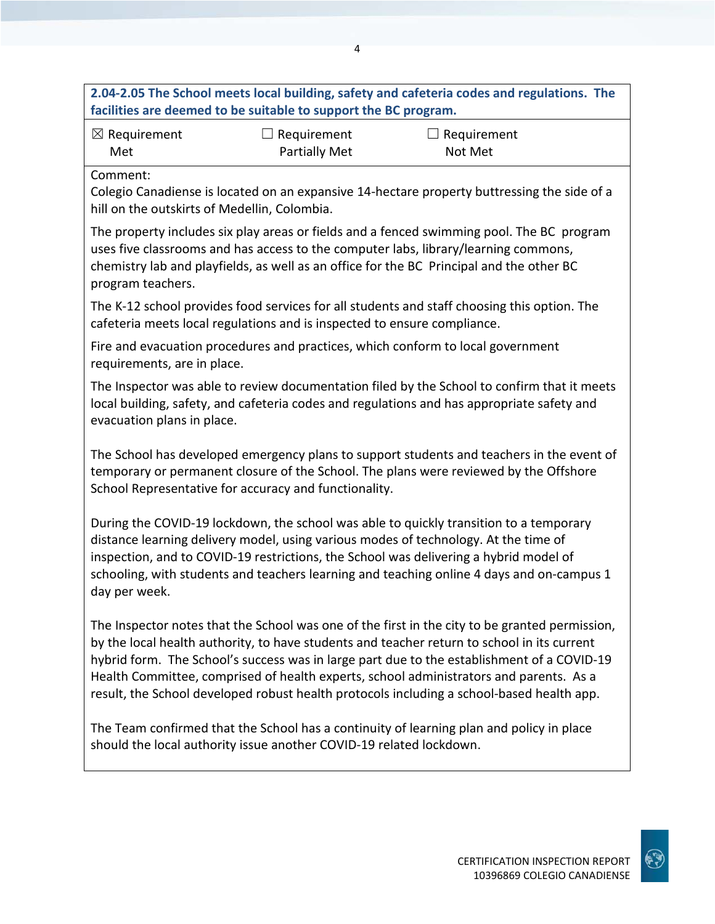## **2.04-2.05 The School meets local building, safety and cafeteria codes and regulations. The facilities are deemed to be suitable to support the BC program.**

| $\boxtimes$ Requirement | $\Box$ Requirement   | $\Box$ Requirement |
|-------------------------|----------------------|--------------------|
| Met                     | <b>Partially Met</b> | Not Met            |

Comment:

Colegio Canadiense is located on an expansive 14-hectare property buttressing the side of a hill on the outskirts of Medellin, Colombia.

The property includes six play areas or fields and a fenced swimming pool. The BC program uses five classrooms and has access to the computer labs, library/learning commons, chemistry lab and playfields, as well as an office for the BC Principal and the other BC program teachers.

The K-12 school provides food services for all students and staff choosing this option. The cafeteria meets local regulations and is inspected to ensure compliance.

Fire and evacuation procedures and practices, which conform to local government requirements, are in place.

The Inspector was able to review documentation filed by the School to confirm that it meets local building, safety, and cafeteria codes and regulations and has appropriate safety and evacuation plans in place.

The School has developed emergency plans to support students and teachers in the event of temporary or permanent closure of the School. The plans were reviewed by the Offshore School Representative for accuracy and functionality.

During the COVID-19 lockdown, the school was able to quickly transition to a temporary distance learning delivery model, using various modes of technology. At the time of inspection, and to COVID-19 restrictions, the School was delivering a hybrid model of schooling, with students and teachers learning and teaching online 4 days and on-campus 1 day per week.

The Inspector notes that the School was one of the first in the city to be granted permission, by the local health authority, to have students and teacher return to school in its current hybrid form. The School's success was in large part due to the establishment of a COVID-19 Health Committee, comprised of health experts, school administrators and parents. As a result, the School developed robust health protocols including a school-based health app.

The Team confirmed that the School has a continuity of learning plan and policy in place should the local authority issue another COVID-19 related lockdown.

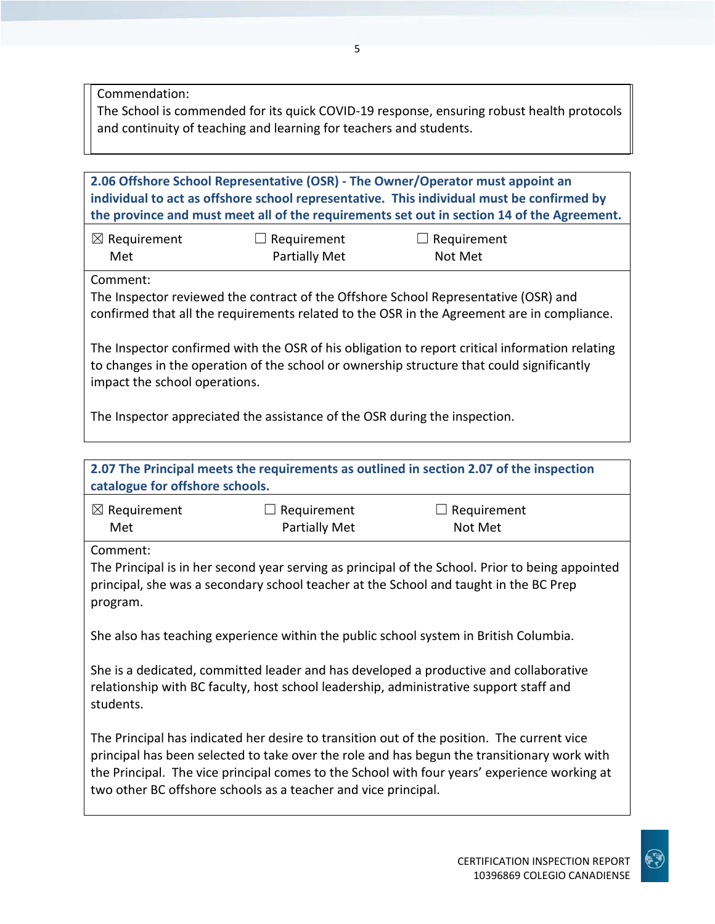Commendation:

The School is commended for its quick COVID-19 response, ensuring robust health protocols and continuity of teaching and learning for teachers and students.

**2.06 Offshore School Representative (OSR) - The Owner/Operator must appoint an individual to act as offshore school representative. This individual must be confirmed by the province and must meet all of the requirements set out in section 14 of the Agreement.** ☒ Requirement Met  $\Box$  Requirement Partially Met  $\Box$  Requirement Not Met Comment: The Inspector reviewed the contract of the Offshore School Representative (OSR) and confirmed that all the requirements related to the OSR in the Agreement are in compliance.

The Inspector confirmed with the OSR of his obligation to report critical information relating to changes in the operation of the school or ownership structure that could significantly impact the school operations.

The Inspector appreciated the assistance of the OSR during the inspection.

| catalogue for offshore schools.                                                                                                                                                              |                                                                | 2.07 The Principal meets the requirements as outlined in section 2.07 of the inspection                                                                                                                                                                                                   |
|----------------------------------------------------------------------------------------------------------------------------------------------------------------------------------------------|----------------------------------------------------------------|-------------------------------------------------------------------------------------------------------------------------------------------------------------------------------------------------------------------------------------------------------------------------------------------|
| $\boxtimes$ Requirement                                                                                                                                                                      | Requirement                                                    | Requirement                                                                                                                                                                                                                                                                               |
| Met                                                                                                                                                                                          | <b>Partially Met</b>                                           | Not Met                                                                                                                                                                                                                                                                                   |
| Comment:                                                                                                                                                                                     |                                                                |                                                                                                                                                                                                                                                                                           |
| program.                                                                                                                                                                                     |                                                                | The Principal is in her second year serving as principal of the School. Prior to being appointed<br>principal, she was a secondary school teacher at the School and taught in the BC Prep                                                                                                 |
|                                                                                                                                                                                              |                                                                | She also has teaching experience within the public school system in British Columbia.                                                                                                                                                                                                     |
| She is a dedicated, committed leader and has developed a productive and collaborative<br>relationship with BC faculty, host school leadership, administrative support staff and<br>students. |                                                                |                                                                                                                                                                                                                                                                                           |
|                                                                                                                                                                                              | two other BC offshore schools as a teacher and vice principal. | The Principal has indicated her desire to transition out of the position. The current vice<br>principal has been selected to take over the role and has begun the transitionary work with<br>the Principal. The vice principal comes to the School with four years' experience working at |

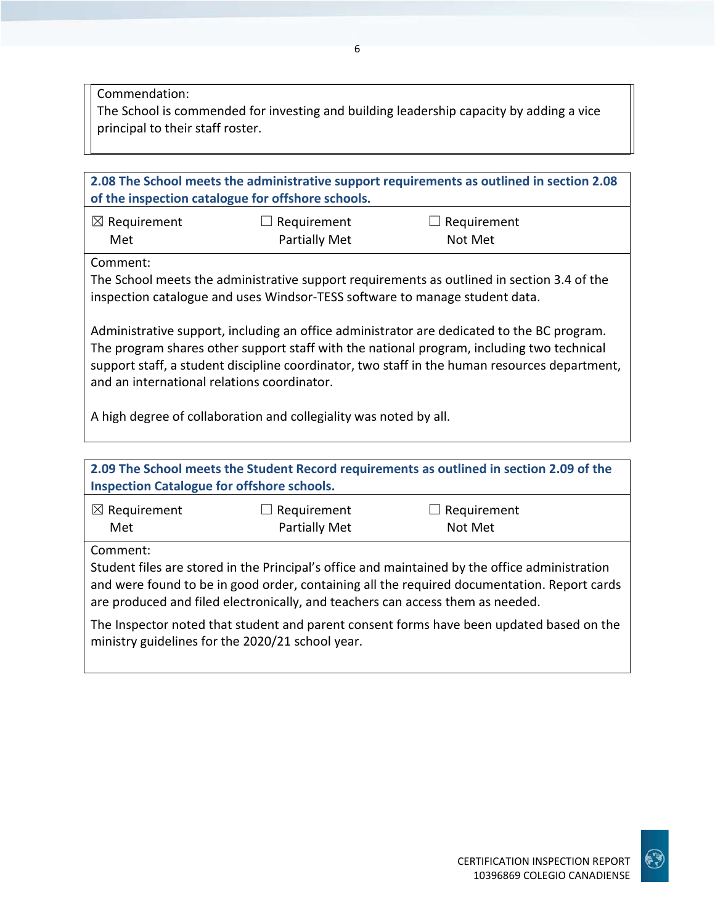Commendation:

The School is commended for investing and building leadership capacity by adding a vice principal to their staff roster.

| 2.08 The School meets the administrative support requirements as outlined in section 2.08<br>of the inspection catalogue for offshore schools.                                                                                                                                                                                          |                                            |                               |  |
|-----------------------------------------------------------------------------------------------------------------------------------------------------------------------------------------------------------------------------------------------------------------------------------------------------------------------------------------|--------------------------------------------|-------------------------------|--|
| $\boxtimes$ Requirement<br>Met                                                                                                                                                                                                                                                                                                          | $\Box$ Requirement<br><b>Partially Met</b> | $\Box$ Requirement<br>Not Met |  |
| Comment:<br>The School meets the administrative support requirements as outlined in section 3.4 of the<br>inspection catalogue and uses Windsor-TESS software to manage student data.                                                                                                                                                   |                                            |                               |  |
| Administrative support, including an office administrator are dedicated to the BC program.<br>The program shares other support staff with the national program, including two technical<br>support staff, a student discipline coordinator, two staff in the human resources department,<br>and an international relations coordinator. |                                            |                               |  |
| A high degree of collaboration and collegiality was noted by all.                                                                                                                                                                                                                                                                       |                                            |                               |  |
| 2.09 The School meets the Student Record requirements as outlined in section 2.09 of the<br><b>Inspection Catalogue for offshore schools.</b>                                                                                                                                                                                           |                                            |                               |  |
| $\boxtimes$ Requirement<br>Met                                                                                                                                                                                                                                                                                                          | Requirement<br><b>Partially Met</b>        | Requirement<br>Not Met        |  |

Comment:

Student files are stored in the Principal's office and maintained by the office administration and were found to be in good order, containing all the required documentation. Report cards are produced and filed electronically, and teachers can access them as needed.

The Inspector noted that student and parent consent forms have been updated based on the ministry guidelines for the 2020/21 school year.

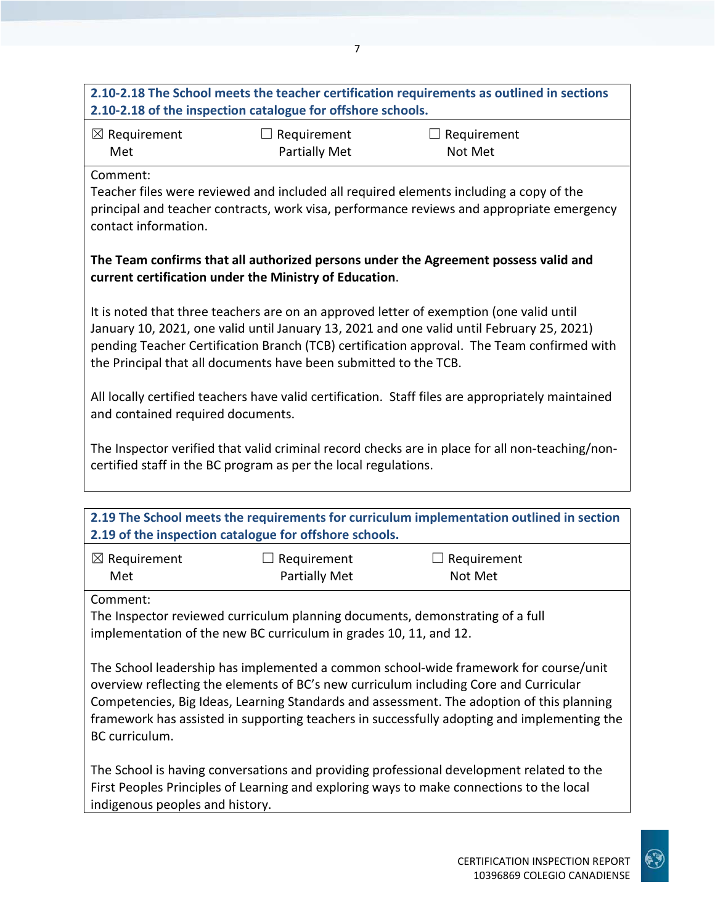# **2.10-2.18 The School meets the teacher certification requirements as outlined in sections 2.10-2.18 of the inspection catalogue for offshore schools.**

| $\boxtimes$ Requirement | $\Box$ Requirement   | $\Box$ Requirement |
|-------------------------|----------------------|--------------------|
| Met                     | <b>Partially Met</b> | Not Met            |

Comment:

Teacher files were reviewed and included all required elements including a copy of the principal and teacher contracts, work visa, performance reviews and appropriate emergency contact information.

### **The Team confirms that all authorized persons under the Agreement possess valid and current certification under the Ministry of Education**.

It is noted that three teachers are on an approved letter of exemption (one valid until January 10, 2021, one valid until January 13, 2021 and one valid until February 25, 2021) pending Teacher Certification Branch (TCB) certification approval. The Team confirmed with the Principal that all documents have been submitted to the TCB.

All locally certified teachers have valid certification. Staff files are appropriately maintained and contained required documents.

The Inspector verified that valid criminal record checks are in place for all non-teaching/noncertified staff in the BC program as per the local regulations.

| 2.19 The School meets the requirements for curriculum implementation outlined in section |                                                                               |                               |  |
|------------------------------------------------------------------------------------------|-------------------------------------------------------------------------------|-------------------------------|--|
| 2.19 of the inspection catalogue for offshore schools.                                   |                                                                               |                               |  |
| $\boxtimes$ Requirement<br>Met                                                           | $\Box$ Requirement<br>Partially Met                                           | $\Box$ Requirement<br>Not Met |  |
| Comment:                                                                                 |                                                                               |                               |  |
|                                                                                          | The Inspector reviewed curriculum planning documents, demonstrating of a full |                               |  |

implementation of the new BC curriculum in grades 10, 11, and 12.

The School leadership has implemented a common school-wide framework for course/unit overview reflecting the elements of BC's new curriculum including Core and Curricular Competencies, Big Ideas, Learning Standards and assessment. The adoption of this planning framework has assisted in supporting teachers in successfully adopting and implementing the BC curriculum.

The School is having conversations and providing professional development related to the First Peoples Principles of Learning and exploring ways to make connections to the local indigenous peoples and history.

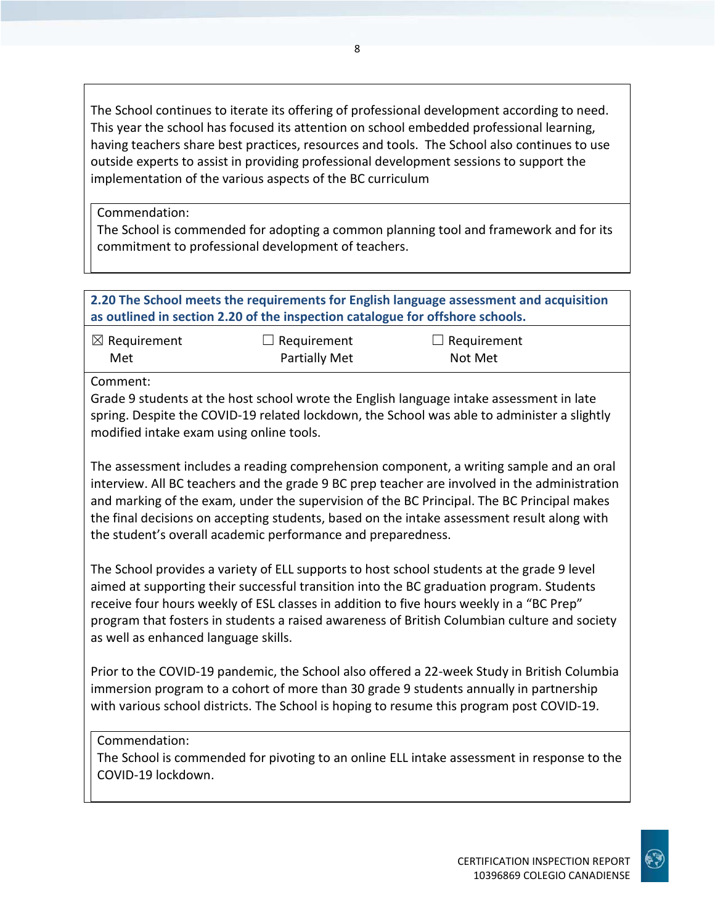The School continues to iterate its offering of professional development according to need. This year the school has focused its attention on school embedded professional learning, having teachers share best practices, resources and tools. The School also continues to use outside experts to assist in providing professional development sessions to support the implementation of the various aspects of the BC curriculum

Commendation:

The School is commended for adopting a common planning tool and framework and for its commitment to professional development of teachers.

### **2.20 The School meets the requirements for English language assessment and acquisition as outlined in section 2.20 of the inspection catalogue for offshore schools.**

| $\boxtimes$ Requirement | $\Box$ Requirement | $\Box$ Requirement |
|-------------------------|--------------------|--------------------|
| Met                     | Partially Met      | Not Met            |

Comment:

Grade 9 students at the host school wrote the English language intake assessment in late spring. Despite the COVID-19 related lockdown, the School was able to administer a slightly modified intake exam using online tools.

The assessment includes a reading comprehension component, a writing sample and an oral interview. All BC teachers and the grade 9 BC prep teacher are involved in the administration and marking of the exam, under the supervision of the BC Principal. The BC Principal makes the final decisions on accepting students, based on the intake assessment result along with the student's overall academic performance and preparedness.

The School provides a variety of ELL supports to host school students at the grade 9 level aimed at supporting their successful transition into the BC graduation program. Students receive four hours weekly of ESL classes in addition to five hours weekly in a "BC Prep" program that fosters in students a raised awareness of British Columbian culture and society as well as enhanced language skills.

Prior to the COVID-19 pandemic, the School also offered a 22-week Study in British Columbia immersion program to a cohort of more than 30 grade 9 students annually in partnership with various school districts. The School is hoping to resume this program post COVID-19.

## Commendation:

The School is commended for pivoting to an online ELL intake assessment in response to the COVID-19 lockdown.

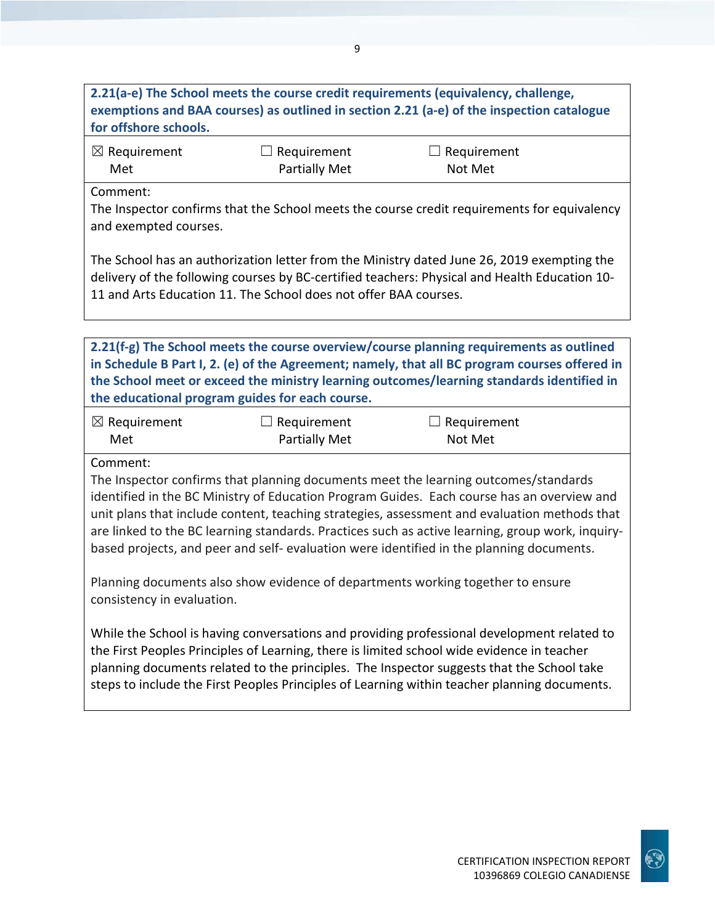# **2.21(a-e) The School meets the course credit requirements (equivalency, challenge, exemptions and BAA courses) as outlined in section 2.21 (a-e) of the inspection catalogue for offshore schools.**

| $\boxtimes$ Requirement | $\Box$ Requirement | $\Box$ Requirement |
|-------------------------|--------------------|--------------------|
| Met                     | Partially Met      | Not Met            |

Comment:

The Inspector confirms that the School meets the course credit requirements for equivalency and exempted courses.

The School has an authorization letter from the Ministry dated June 26, 2019 exempting the delivery of the following courses by BC-certified teachers: Physical and Health Education 10- 11 and Arts Education 11. The School does not offer BAA courses.

**2.21(f-g) The School meets the course overview/course planning requirements as outlined in Schedule B Part I, 2. (e) of the Agreement; namely, that all BC program courses offered in the School meet or exceed the ministry learning outcomes/learning standards identified in the educational program guides for each course.**

| $\boxtimes$ Requirement | $\Box$ Requirement   | $\Box$ Requirement |
|-------------------------|----------------------|--------------------|
| Met                     | <b>Partially Met</b> | Not Met            |

Comment:

The Inspector confirms that planning documents meet the learning outcomes/standards identified in the BC Ministry of Education Program Guides. Each course has an overview and unit plans that include content, teaching strategies, assessment and evaluation methods that are linked to the BC learning standards. Practices such as active learning, group work, inquirybased projects, and peer and self- evaluation were identified in the planning documents.

Planning documents also show evidence of departments working together to ensure consistency in evaluation.

While the School is having conversations and providing professional development related to the First Peoples Principles of Learning, there is limited school wide evidence in teacher planning documents related to the principles. The Inspector suggests that the School take steps to include the First Peoples Principles of Learning within teacher planning documents.

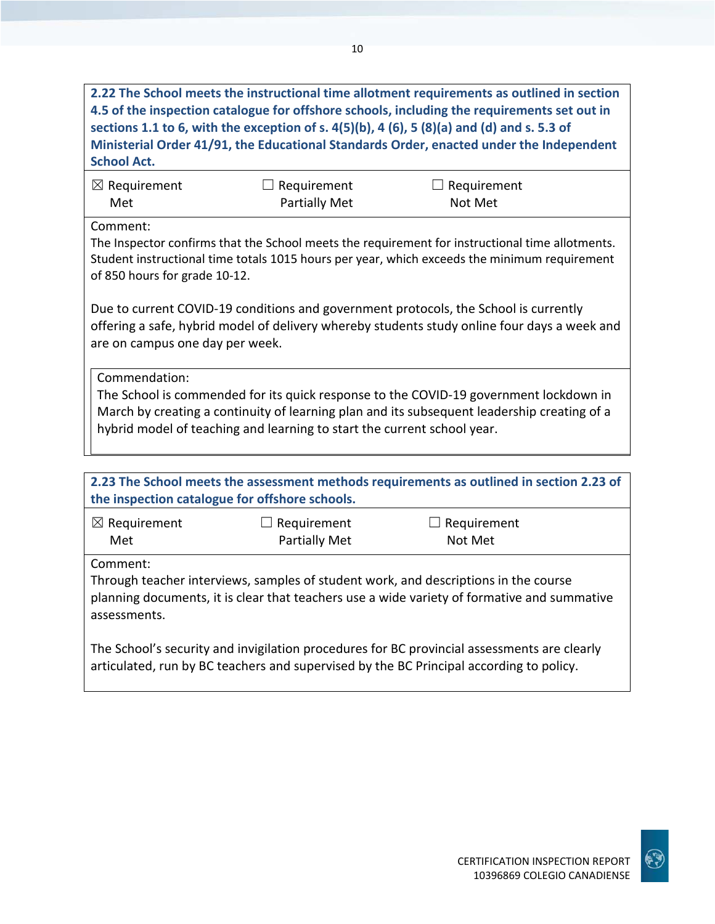**2.22 The School meets the instructional time allotment requirements as outlined in section 4.5 of the inspection catalogue for offshore schools, including the requirements set out in sections 1.1 to 6, with the exception of s. 4(5)(b), 4 (6), 5 (8)(a) and (d) and s. 5.3 of Ministerial Order 41/91, the Educational Standards Order, enacted under the Independent School Act.**

| $\boxtimes$ Requirement | $\Box$ Requirement   | $\Box$ Requirement |
|-------------------------|----------------------|--------------------|
| Met                     | <b>Partially Met</b> | Not Met            |

Comment:

The Inspector confirms that the School meets the requirement for instructional time allotments. Student instructional time totals 1015 hours per year, which exceeds the minimum requirement of 850 hours for grade 10-12.

Due to current COVID-19 conditions and government protocols, the School is currently offering a safe, hybrid model of delivery whereby students study online four days a week and are on campus one day per week.

Commendation:

The School is commended for its quick response to the COVID-19 government lockdown in March by creating a continuity of learning plan and its subsequent leadership creating of a hybrid model of teaching and learning to start the current school year.

| 2.23 The School meets the assessment methods requirements as outlined in section 2.23 of<br>the inspection catalogue for offshore schools.                                                                     |                                     |                        |  |
|----------------------------------------------------------------------------------------------------------------------------------------------------------------------------------------------------------------|-------------------------------------|------------------------|--|
| $\boxtimes$ Requirement<br>Met                                                                                                                                                                                 | Requirement<br><b>Partially Met</b> | Requirement<br>Not Met |  |
| Comment:<br>Through teacher interviews, samples of student work, and descriptions in the course<br>planning documents, it is clear that teachers use a wide variety of formative and summative<br>assessments. |                                     |                        |  |
| The School's security and invigilation procedures for BC provincial assessments are clearly<br>articulated, run by BC teachers and supervised by the BC Principal according to policy.                         |                                     |                        |  |

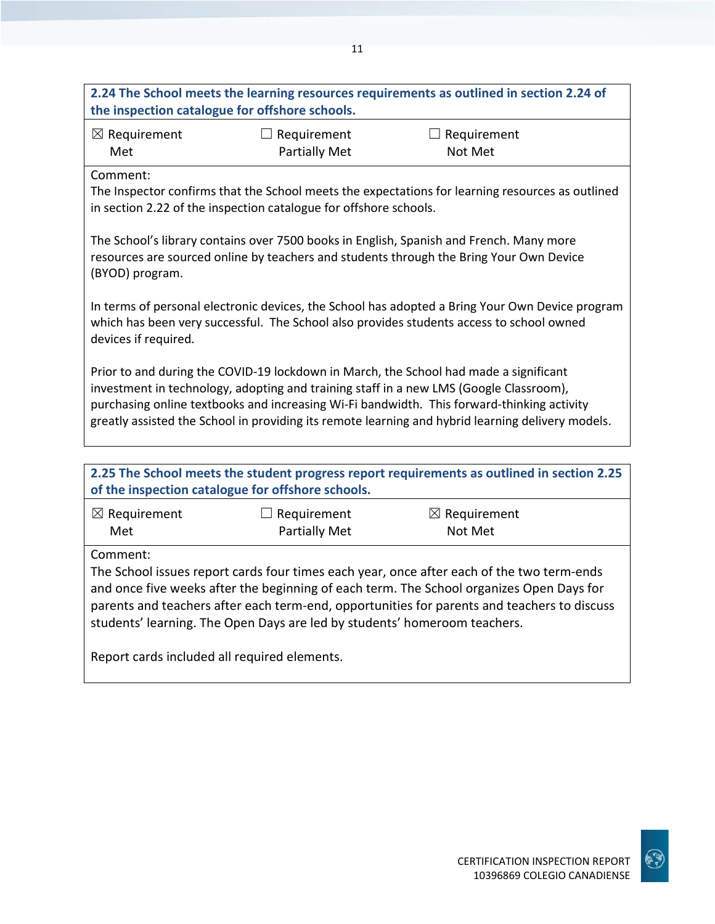|                                                                                                                                                                                                                                                                                                                                                                                    |                                                                   | 2.24 The School meets the learning resources requirements as outlined in section 2.24 of                                                                                           |
|------------------------------------------------------------------------------------------------------------------------------------------------------------------------------------------------------------------------------------------------------------------------------------------------------------------------------------------------------------------------------------|-------------------------------------------------------------------|------------------------------------------------------------------------------------------------------------------------------------------------------------------------------------|
| the inspection catalogue for offshore schools.                                                                                                                                                                                                                                                                                                                                     |                                                                   |                                                                                                                                                                                    |
| $\boxtimes$ Requirement                                                                                                                                                                                                                                                                                                                                                            | $\Box$ Requirement                                                | $\Box$ Requirement                                                                                                                                                                 |
| Met                                                                                                                                                                                                                                                                                                                                                                                | <b>Partially Met</b>                                              | Not Met                                                                                                                                                                            |
| Comment:                                                                                                                                                                                                                                                                                                                                                                           | in section 2.22 of the inspection catalogue for offshore schools. | The Inspector confirms that the School meets the expectations for learning resources as outlined                                                                                   |
| (BYOD) program.                                                                                                                                                                                                                                                                                                                                                                    |                                                                   | The School's library contains over 7500 books in English, Spanish and French. Many more<br>resources are sourced online by teachers and students through the Bring Your Own Device |
| In terms of personal electronic devices, the School has adopted a Bring Your Own Device program<br>which has been very successful. The School also provides students access to school owned<br>devices if required.                                                                                                                                                                |                                                                   |                                                                                                                                                                                    |
| Prior to and during the COVID-19 lockdown in March, the School had made a significant<br>investment in technology, adopting and training staff in a new LMS (Google Classroom),<br>purchasing online textbooks and increasing Wi-Fi bandwidth. This forward-thinking activity<br>greatly assisted the School in providing its remote learning and hybrid learning delivery models. |                                                                   |                                                                                                                                                                                    |
|                                                                                                                                                                                                                                                                                                                                                                                    |                                                                   |                                                                                                                                                                                    |
|                                                                                                                                                                                                                                                                                                                                                                                    | of the inspection catalogue for offshore schools.                 | 2.25 The School meets the student progress report requirements as outlined in section 2.25                                                                                         |
| $\boxtimes$ Requirement                                                                                                                                                                                                                                                                                                                                                            | $\Box$ Requirement                                                | $\boxtimes$ Requirement                                                                                                                                                            |
| Met                                                                                                                                                                                                                                                                                                                                                                                | <b>Partially Met</b>                                              | Not Met                                                                                                                                                                            |
| Comment:                                                                                                                                                                                                                                                                                                                                                                           |                                                                   |                                                                                                                                                                                    |
| The School issues report cards four times each year, once after each of the two term-ends                                                                                                                                                                                                                                                                                          |                                                                   |                                                                                                                                                                                    |
| and once five weeks after the beginning of each term. The School organizes Open Days for                                                                                                                                                                                                                                                                                           |                                                                   |                                                                                                                                                                                    |
| parents and teachers after each term-end, opportunities for parents and teachers to discuss<br>students' learning. The Open Days are led by students' homeroom teachers.                                                                                                                                                                                                           |                                                                   |                                                                                                                                                                                    |
| Report cards included all required elements.                                                                                                                                                                                                                                                                                                                                       |                                                                   |                                                                                                                                                                                    |

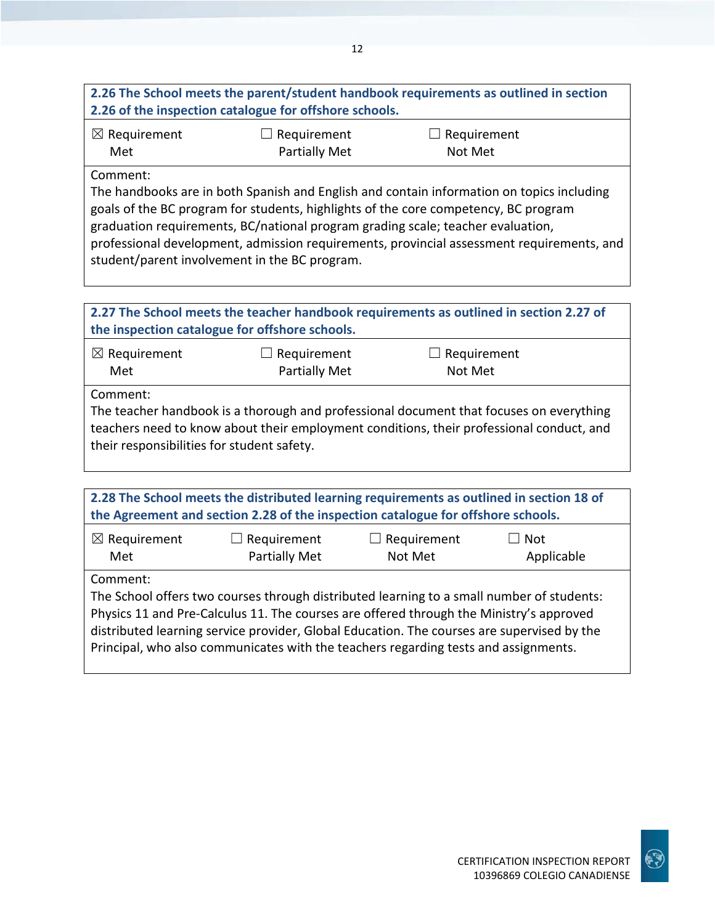## **2.26 The School meets the parent/student handbook requirements as outlined in section 2.26 of the inspection catalogue for offshore schools.**

| $\boxtimes$ Requirement | $\Box$ Requirement | $\Box$ Requirement |
|-------------------------|--------------------|--------------------|
| Met                     | Partially Met      | Not Met            |

Comment:

The handbooks are in both Spanish and English and contain information on topics including goals of the BC program for students, highlights of the core competency, BC program graduation requirements, BC/national program grading scale; teacher evaluation, professional development, admission requirements, provincial assessment requirements, and student/parent involvement in the BC program.

| 2.27 The School meets the teacher handbook requirements as outlined in section 2.27 of<br>the inspection catalogue for offshore schools. |                                     |                                                                                                                                                                                     |  |
|------------------------------------------------------------------------------------------------------------------------------------------|-------------------------------------|-------------------------------------------------------------------------------------------------------------------------------------------------------------------------------------|--|
| $\boxtimes$ Requirement<br>Met                                                                                                           | $\Box$ Requirement<br>Partially Met | $\Box$ Requirement<br>Not Met                                                                                                                                                       |  |
| Comment:<br>their responsibilities for student safety.                                                                                   |                                     | The teacher handbook is a thorough and professional document that focuses on everything<br>teachers need to know about their employment conditions, their professional conduct, and |  |
|                                                                                                                                          |                                     |                                                                                                                                                                                     |  |
|                                                                                                                                          |                                     | 2.28 The School meets the distributed learning requirements as outlined in section 18 of                                                                                            |  |

| 2.28 The School meets the distributed learning requirements as outlined in section 18 of   |                                     |                               |                          |
|--------------------------------------------------------------------------------------------|-------------------------------------|-------------------------------|--------------------------|
| the Agreement and section 2.28 of the inspection catalogue for offshore schools.           |                                     |                               |                          |
| $\boxtimes$ Requirement<br>Met                                                             | $\Box$ Requirement<br>Partially Met | $\Box$ Requirement<br>Not Met | $\Box$ Not<br>Applicable |
| Comment:                                                                                   |                                     |                               |                          |
| The School offers two courses through distributed learning to a small number of students:  |                                     |                               |                          |
| Physics 11 and Pre-Calculus 11. The courses are offered through the Ministry's approved    |                                     |                               |                          |
| distributed learning service provider, Global Education. The courses are supervised by the |                                     |                               |                          |
| Principal, who also communicates with the teachers regarding tests and assignments.        |                                     |                               |                          |